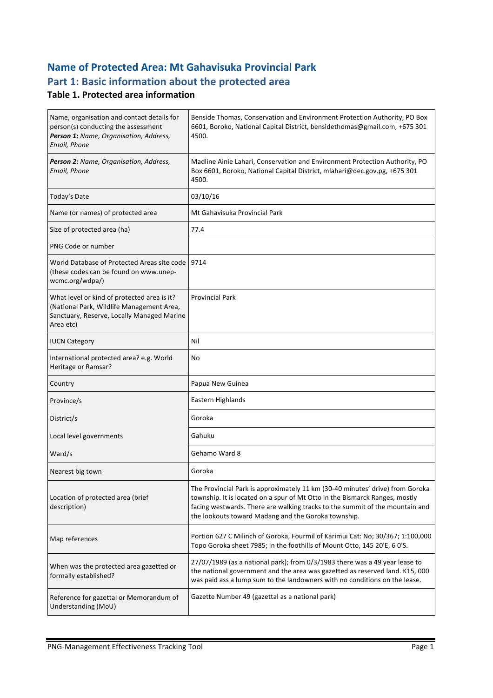# **Name of Protected Area: Mt Gahavisuka Provincial Park** Part 1: Basic information about the protected area

## **Table 1. Protected area information**

| Name, organisation and contact details for<br>person(s) conducting the assessment<br>Person 1: Name, Organisation, Address,<br>Email, Phone         | Benside Thomas, Conservation and Environment Protection Authority, PO Box<br>6601, Boroko, National Capital District, bensidethomas@gmail.com, +675 301<br>4500.                                                                                                                                    |
|-----------------------------------------------------------------------------------------------------------------------------------------------------|-----------------------------------------------------------------------------------------------------------------------------------------------------------------------------------------------------------------------------------------------------------------------------------------------------|
| Person 2: Name, Organisation, Address,<br>Email, Phone                                                                                              | Madline Ainie Lahari, Conservation and Environment Protection Authority, PO<br>Box 6601, Boroko, National Capital District, mlahari@dec.gov.pg, +675 301<br>4500.                                                                                                                                   |
| Today's Date                                                                                                                                        | 03/10/16                                                                                                                                                                                                                                                                                            |
| Name (or names) of protected area                                                                                                                   | Mt Gahavisuka Provincial Park                                                                                                                                                                                                                                                                       |
| Size of protected area (ha)                                                                                                                         | 77.4                                                                                                                                                                                                                                                                                                |
| PNG Code or number                                                                                                                                  |                                                                                                                                                                                                                                                                                                     |
| World Database of Protected Areas site code 19714<br>(these codes can be found on www.unep-<br>wcmc.org/wdpa/)                                      |                                                                                                                                                                                                                                                                                                     |
| What level or kind of protected area is it?<br>(National Park, Wildlife Management Area,<br>Sanctuary, Reserve, Locally Managed Marine<br>Area etc) | <b>Provincial Park</b>                                                                                                                                                                                                                                                                              |
| <b>IUCN Category</b>                                                                                                                                | Nil                                                                                                                                                                                                                                                                                                 |
| International protected area? e.g. World<br>Heritage or Ramsar?                                                                                     | No                                                                                                                                                                                                                                                                                                  |
| Country                                                                                                                                             | Papua New Guinea                                                                                                                                                                                                                                                                                    |
| Province/s                                                                                                                                          | Eastern Highlands                                                                                                                                                                                                                                                                                   |
| District/s                                                                                                                                          | Goroka                                                                                                                                                                                                                                                                                              |
| Local level governments                                                                                                                             | Gahuku                                                                                                                                                                                                                                                                                              |
| Ward/s                                                                                                                                              | Gehamo Ward 8                                                                                                                                                                                                                                                                                       |
| Nearest big town                                                                                                                                    | Goroka                                                                                                                                                                                                                                                                                              |
| Location of protected area (brief<br>description)                                                                                                   | The Provincial Park is approximately 11 km (30-40 minutes' drive) from Goroka<br>township. It is located on a spur of Mt Otto in the Bismarck Ranges, mostly<br>facing westwards. There are walking tracks to the summit of the mountain and<br>the lookouts toward Madang and the Goroka township. |
| Map references                                                                                                                                      | Portion 627 C Milinch of Goroka, Fourmil of Karimui Cat: No; 30/367; 1:100,000<br>Topo Goroka sheet 7985; in the foothills of Mount Otto, 145 20'E, 6 0'S.                                                                                                                                          |
| When was the protected area gazetted or<br>formally established?                                                                                    | 27/07/1989 (as a national park); from 0/3/1983 there was a 49 year lease to<br>the national government and the area was gazetted as reserved land. K15, 000<br>was paid ass a lump sum to the landowners with no conditions on the lease.                                                           |
| Reference for gazettal or Memorandum of<br>Understanding (MoU)                                                                                      | Gazette Number 49 (gazettal as a national park)                                                                                                                                                                                                                                                     |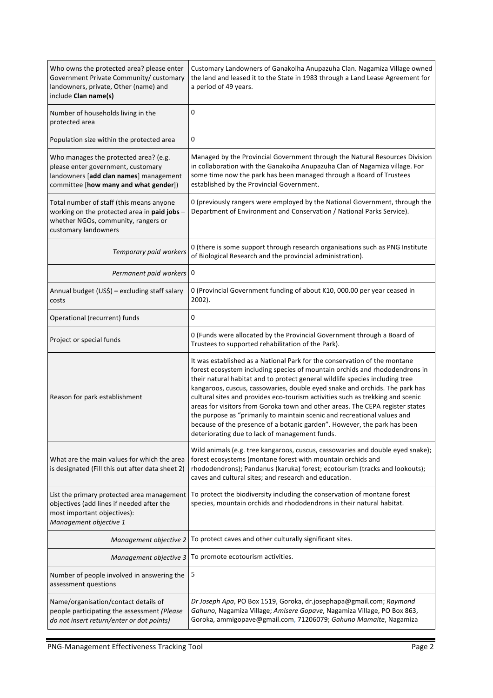| Who owns the protected area? please enter<br>Government Private Community/ customary<br>landowners, private, Other (name) and<br>include Clan name(s)          | Customary Landowners of Ganakoiha Anupazuha Clan. Nagamiza Village owned<br>the land and leased it to the State in 1983 through a Land Lease Agreement for<br>a period of 49 years.                                                                                                                                                                                                                                                                                                                                                                                                                                                                                                                  |  |
|----------------------------------------------------------------------------------------------------------------------------------------------------------------|------------------------------------------------------------------------------------------------------------------------------------------------------------------------------------------------------------------------------------------------------------------------------------------------------------------------------------------------------------------------------------------------------------------------------------------------------------------------------------------------------------------------------------------------------------------------------------------------------------------------------------------------------------------------------------------------------|--|
| Number of households living in the<br>protected area                                                                                                           | 0                                                                                                                                                                                                                                                                                                                                                                                                                                                                                                                                                                                                                                                                                                    |  |
| Population size within the protected area                                                                                                                      | 0                                                                                                                                                                                                                                                                                                                                                                                                                                                                                                                                                                                                                                                                                                    |  |
| Who manages the protected area? (e.g.<br>please enter government, customary<br>landowners [add clan names] management<br>committee [how many and what gender]) | Managed by the Provincial Government through the Natural Resources Division<br>in collaboration with the Ganakoiha Anupazuha Clan of Nagamiza village. For<br>some time now the park has been managed through a Board of Trustees<br>established by the Provincial Government.                                                                                                                                                                                                                                                                                                                                                                                                                       |  |
| Total number of staff (this means anyone<br>working on the protected area in paid jobs -<br>whether NGOs, community, rangers or<br>customary landowners        | 0 (previously rangers were employed by the National Government, through the<br>Department of Environment and Conservation / National Parks Service).                                                                                                                                                                                                                                                                                                                                                                                                                                                                                                                                                 |  |
| Temporary paid workers                                                                                                                                         | 0 (there is some support through research organisations such as PNG Institute<br>of Biological Research and the provincial administration).                                                                                                                                                                                                                                                                                                                                                                                                                                                                                                                                                          |  |
| Permanent paid workers 0                                                                                                                                       |                                                                                                                                                                                                                                                                                                                                                                                                                                                                                                                                                                                                                                                                                                      |  |
| Annual budget (US\$) - excluding staff salary<br>costs                                                                                                         | 0 (Provincial Government funding of about K10, 000.00 per year ceased in<br>2002).                                                                                                                                                                                                                                                                                                                                                                                                                                                                                                                                                                                                                   |  |
| Operational (recurrent) funds                                                                                                                                  | 0                                                                                                                                                                                                                                                                                                                                                                                                                                                                                                                                                                                                                                                                                                    |  |
| Project or special funds                                                                                                                                       | 0 (Funds were allocated by the Provincial Government through a Board of<br>Trustees to supported rehabilitation of the Park).                                                                                                                                                                                                                                                                                                                                                                                                                                                                                                                                                                        |  |
| Reason for park establishment                                                                                                                                  | It was established as a National Park for the conservation of the montane<br>forest ecosystem including species of mountain orchids and rhododendrons in<br>their natural habitat and to protect general wildlife species including tree<br>kangaroos, cuscus, cassowaries, double eyed snake and orchids. The park has<br>cultural sites and provides eco-tourism activities such as trekking and scenic<br>areas for visitors from Goroka town and other areas. The CEPA register states<br>the purpose as "primarily to maintain scenic and recreational values and<br>because of the presence of a botanic garden". However, the park has been<br>deteriorating due to lack of management funds. |  |
| What are the main values for which the area<br>is designated (Fill this out after data sheet 2)                                                                | Wild animals (e.g. tree kangaroos, cuscus, cassowaries and double eyed snake);<br>forest ecosystems (montane forest with mountain orchids and<br>rhododendrons); Pandanus (karuka) forest; ecotourism (tracks and lookouts);<br>caves and cultural sites; and research and education.                                                                                                                                                                                                                                                                                                                                                                                                                |  |
| List the primary protected area management<br>objectives (add lines if needed after the<br>most important objectives):<br>Management objective 1               | To protect the biodiversity including the conservation of montane forest<br>species, mountain orchids and rhododendrons in their natural habitat.                                                                                                                                                                                                                                                                                                                                                                                                                                                                                                                                                    |  |
| Management objective 2                                                                                                                                         | To protect caves and other culturally significant sites.                                                                                                                                                                                                                                                                                                                                                                                                                                                                                                                                                                                                                                             |  |
| Management objective 3                                                                                                                                         | To promote ecotourism activities.                                                                                                                                                                                                                                                                                                                                                                                                                                                                                                                                                                                                                                                                    |  |
| Number of people involved in answering the<br>assessment questions                                                                                             | 5                                                                                                                                                                                                                                                                                                                                                                                                                                                                                                                                                                                                                                                                                                    |  |
| Name/organisation/contact details of<br>people participating the assessment (Please<br>do not insert return/enter or dot points)                               | Dr Joseph Apa, PO Box 1519, Goroka, dr.josephapa@gmail.com; Raymond<br>Gahuno, Nagamiza Village; Amisere Gopave, Nagamiza Village, PO Box 863,<br>Goroka, ammigopave@gmail.com, 71206079; Gahuno Mamaite, Nagamiza                                                                                                                                                                                                                                                                                                                                                                                                                                                                                   |  |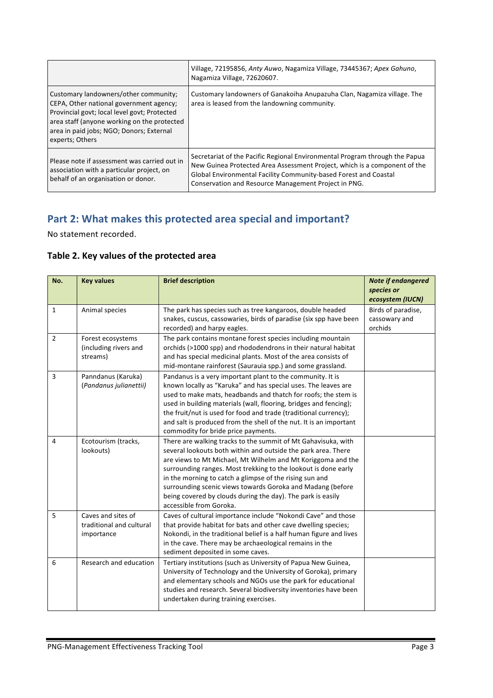|                                                                                                                                                                                                                                                | Village, 72195856, Anty Auwo, Nagamiza Village, 73445367; Apex Gahuno,<br>Nagamiza Village, 72620607.                                                                                                                                                                                |
|------------------------------------------------------------------------------------------------------------------------------------------------------------------------------------------------------------------------------------------------|--------------------------------------------------------------------------------------------------------------------------------------------------------------------------------------------------------------------------------------------------------------------------------------|
| Customary landowners/other community;<br>CEPA, Other national government agency;<br>Provincial govt; local level govt; Protected<br>area staff (anyone working on the protected<br>area in paid jobs; NGO; Donors; External<br>experts; Others | Customary landowners of Ganakoiha Anupazuha Clan, Nagamiza village. The<br>area is leased from the landowning community.                                                                                                                                                             |
| Please note if assessment was carried out in<br>association with a particular project, on<br>behalf of an organisation or donor.                                                                                                               | Secretariat of the Pacific Regional Environmental Program through the Papua<br>New Guinea Protected Area Assessment Project, which is a component of the<br>Global Environmental Facility Community-based Forest and Coastal<br>Conservation and Resource Management Project in PNG. |

# Part 2: What makes this protected area special and important?

No statement recorded.

## Table 2. Key values of the protected area

| No.            | <b>Key values</b>                                            | <b>Brief description</b>                                                                                                                                                                                                                                                                                                                                                                                                                                                            | Note if endangered<br>species or<br>ecosystem (IUCN) |
|----------------|--------------------------------------------------------------|-------------------------------------------------------------------------------------------------------------------------------------------------------------------------------------------------------------------------------------------------------------------------------------------------------------------------------------------------------------------------------------------------------------------------------------------------------------------------------------|------------------------------------------------------|
| $\mathbf{1}$   | Animal species                                               | The park has species such as tree kangaroos, double headed<br>snakes, cuscus, cassowaries, birds of paradise (six spp have been<br>recorded) and harpy eagles.                                                                                                                                                                                                                                                                                                                      | Birds of paradise,<br>cassowary and<br>orchids       |
| $\overline{2}$ | Forest ecosystems<br>(including rivers and<br>streams)       | The park contains montane forest species including mountain<br>orchids (>1000 spp) and rhododendrons in their natural habitat<br>and has special medicinal plants. Most of the area consists of<br>mid-montane rainforest (Saurauia spp.) and some grassland.                                                                                                                                                                                                                       |                                                      |
| 3              | Panndanus (Karuka)<br>(Pandanus julianettii)                 | Pandanus is a very important plant to the community. It is<br>known locally as "Karuka" and has special uses. The leaves are<br>used to make mats, headbands and thatch for roofs; the stem is<br>used in building materials (wall, flooring, bridges and fencing);<br>the fruit/nut is used for food and trade (traditional currency);<br>and salt is produced from the shell of the nut. It is an important<br>commodity for bride price payments.                                |                                                      |
| 4              | Ecotourism (tracks,<br>lookouts)                             | There are walking tracks to the summit of Mt Gahavisuka, with<br>several lookouts both within and outside the park area. There<br>are views to Mt Michael, Mt Wilhelm and Mt Koriggoma and the<br>surrounding ranges. Most trekking to the lookout is done early<br>in the morning to catch a glimpse of the rising sun and<br>surrounding scenic views towards Goroka and Madang (before<br>being covered by clouds during the day). The park is easily<br>accessible from Goroka. |                                                      |
| 5              | Caves and sites of<br>traditional and cultural<br>importance | Caves of cultural importance include "Nokondi Cave" and those<br>that provide habitat for bats and other cave dwelling species;<br>Nokondi, in the traditional belief is a half human figure and lives<br>in the cave. There may be archaeological remains in the<br>sediment deposited in some caves.                                                                                                                                                                              |                                                      |
| 6              | Research and education                                       | Tertiary institutions (such as University of Papua New Guinea,<br>University of Technology and the University of Goroka), primary<br>and elementary schools and NGOs use the park for educational<br>studies and research. Several biodiversity inventories have been<br>undertaken during training exercises.                                                                                                                                                                      |                                                      |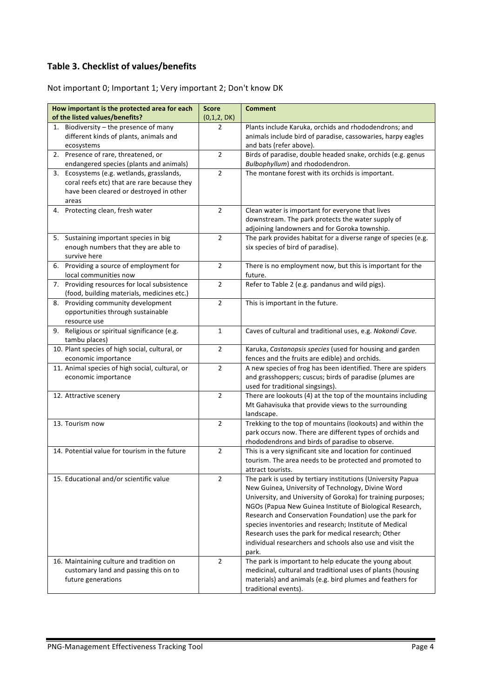## **Table 3. Checklist of values/benefits**

Not important 0; Important 1; Very important 2; Don't know DK

| How important is the protected area for each<br>of the listed values/benefits?         | <b>Score</b><br>(0,1,2, DK) | <b>Comment</b>                                                                                                          |
|----------------------------------------------------------------------------------------|-----------------------------|-------------------------------------------------------------------------------------------------------------------------|
| 1. Biodiversity $-$ the presence of many                                               | 2                           | Plants include Karuka, orchids and rhododendrons; and                                                                   |
| different kinds of plants, animals and                                                 |                             | animals include bird of paradise, cassowaries, harpy eagles                                                             |
| ecosystems                                                                             |                             | and bats (refer above).                                                                                                 |
| 2. Presence of rare, threatened, or                                                    | $\overline{2}$              | Birds of paradise, double headed snake, orchids (e.g. genus                                                             |
| endangered species (plants and animals)                                                |                             | Bulbophyllum) and rhododendron.                                                                                         |
| 3. Ecosystems (e.g. wetlands, grasslands,                                              | $\overline{2}$              | The montane forest with its orchids is important.                                                                       |
| coral reefs etc) that are rare because they<br>have been cleared or destroyed in other |                             |                                                                                                                         |
| areas                                                                                  |                             |                                                                                                                         |
| 4. Protecting clean, fresh water                                                       | $\overline{2}$              | Clean water is important for everyone that lives                                                                        |
|                                                                                        |                             | downstream. The park protects the water supply of                                                                       |
|                                                                                        |                             | adjoining landowners and for Goroka township.                                                                           |
| 5. Sustaining important species in big                                                 | $\overline{2}$              | The park provides habitat for a diverse range of species (e.g.                                                          |
| enough numbers that they are able to                                                   |                             | six species of bird of paradise).                                                                                       |
| survive here                                                                           |                             |                                                                                                                         |
| 6. Providing a source of employment for                                                | $\overline{2}$              | There is no employment now, but this is important for the                                                               |
| local communities now<br>Providing resources for local subsistence<br>7.               | $\overline{2}$              | future.<br>Refer to Table 2 (e.g. pandanus and wild pigs).                                                              |
| (food, building materials, medicines etc.)                                             |                             |                                                                                                                         |
| Providing community development<br>8.                                                  | $\overline{2}$              | This is important in the future.                                                                                        |
| opportunities through sustainable                                                      |                             |                                                                                                                         |
| resource use                                                                           |                             |                                                                                                                         |
| 9. Religious or spiritual significance (e.g.                                           | $\mathbf{1}$                | Caves of cultural and traditional uses, e.g. Nokondi Cave.                                                              |
| tambu places)                                                                          |                             |                                                                                                                         |
| 10. Plant species of high social, cultural, or                                         | $\overline{2}$              | Karuka, Castanopsis species (used for housing and garden                                                                |
| economic importance                                                                    | $\overline{2}$              | fences and the fruits are edible) and orchids.                                                                          |
| 11. Animal species of high social, cultural, or<br>economic importance                 |                             | A new species of frog has been identified. There are spiders<br>and grasshoppers; cuscus; birds of paradise (plumes are |
|                                                                                        |                             | used for traditional singsings).                                                                                        |
| 12. Attractive scenery                                                                 | $\overline{2}$              | There are lookouts (4) at the top of the mountains including                                                            |
|                                                                                        |                             | Mt Gahavisuka that provide views to the surrounding                                                                     |
|                                                                                        |                             | landscape.                                                                                                              |
| 13. Tourism now                                                                        | $\overline{2}$              | Trekking to the top of mountains (lookouts) and within the                                                              |
|                                                                                        |                             | park occurs now. There are different types of orchids and                                                               |
|                                                                                        |                             | rhododendrons and birds of paradise to observe.                                                                         |
| 14. Potential value for tourism in the future                                          | $\overline{2}$              | This is a very significant site and location for continued                                                              |
|                                                                                        |                             | tourism. The area needs to be protected and promoted to<br>attract tourists.                                            |
| 15. Educational and/or scientific value                                                | 2                           | The park is used by tertiary institutions (University Papua                                                             |
|                                                                                        |                             | New Guinea, University of Technology, Divine Word                                                                       |
|                                                                                        |                             | University, and University of Goroka) for training purposes;                                                            |
|                                                                                        |                             | NGOs (Papua New Guinea Institute of Biological Research,                                                                |
|                                                                                        |                             | Research and Conservation Foundation) use the park for                                                                  |
|                                                                                        |                             | species inventories and research; Institute of Medical                                                                  |
|                                                                                        |                             | Research uses the park for medical research; Other<br>individual researchers and schools also use and visit the         |
|                                                                                        |                             | park.                                                                                                                   |
| 16. Maintaining culture and tradition on                                               | $\overline{2}$              | The park is important to help educate the young about                                                                   |
| customary land and passing this on to                                                  |                             | medicinal, cultural and traditional uses of plants (housing                                                             |
| future generations                                                                     |                             | materials) and animals (e.g. bird plumes and feathers for                                                               |
|                                                                                        |                             | traditional events).                                                                                                    |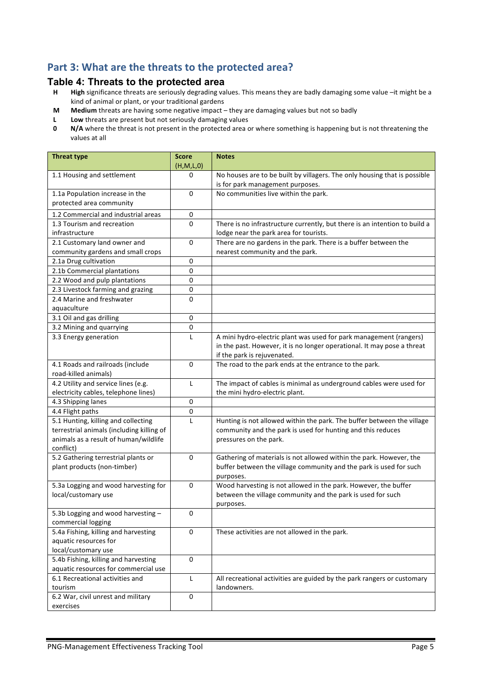# Part 3: What are the threats to the protected area?

#### **Table 4: Threats to the protected area**

- **H High** significance threats are seriously degrading values. This means they are badly damaging some value –it might be a kind of animal or plant, or your traditional gardens
- **M** Medium threats are having some negative impact they are damaging values but not so badly
- **L** Low threats are present but not seriously damaging values
- **0 N/A** where the threat is not present in the protected area or where something is happening but is not threatening the values at all

| <b>Threat type</b>                                                                              | <b>Score</b><br>(H,M,L,0) | <b>Notes</b>                                                                                                                                           |
|-------------------------------------------------------------------------------------------------|---------------------------|--------------------------------------------------------------------------------------------------------------------------------------------------------|
| 1.1 Housing and settlement                                                                      | 0                         | No houses are to be built by villagers. The only housing that is possible<br>is for park management purposes.                                          |
| 1.1a Population increase in the<br>protected area community                                     | 0                         | No communities live within the park.                                                                                                                   |
| 1.2 Commercial and industrial areas                                                             | 0                         |                                                                                                                                                        |
| 1.3 Tourism and recreation                                                                      | 0                         | There is no infrastructure currently, but there is an intention to build a                                                                             |
| infrastructure                                                                                  |                           | lodge near the park area for tourists.                                                                                                                 |
| 2.1 Customary land owner and                                                                    | 0                         | There are no gardens in the park. There is a buffer between the                                                                                        |
| community gardens and small crops                                                               |                           | nearest community and the park.                                                                                                                        |
| 2.1a Drug cultivation                                                                           | 0                         |                                                                                                                                                        |
| 2.1b Commercial plantations                                                                     | $\pmb{0}$                 |                                                                                                                                                        |
| 2.2 Wood and pulp plantations                                                                   | $\pmb{0}$                 |                                                                                                                                                        |
| 2.3 Livestock farming and grazing                                                               | 0                         |                                                                                                                                                        |
| 2.4 Marine and freshwater                                                                       | 0                         |                                                                                                                                                        |
| aquaculture                                                                                     |                           |                                                                                                                                                        |
| 3.1 Oil and gas drilling                                                                        | $\pmb{0}$                 |                                                                                                                                                        |
| 3.2 Mining and quarrying                                                                        | 0                         |                                                                                                                                                        |
| 3.3 Energy generation                                                                           | L                         | A mini hydro-electric plant was used for park management (rangers)<br>in the past. However, it is no longer operational. It may pose a threat          |
|                                                                                                 | 0                         | if the park is rejuvenated.<br>The road to the park ends at the entrance to the park.                                                                  |
| 4.1 Roads and railroads (include<br>road-killed animals)                                        |                           |                                                                                                                                                        |
| 4.2 Utility and service lines (e.g.                                                             | L                         | The impact of cables is minimal as underground cables were used for                                                                                    |
| electricity cables, telephone lines)                                                            |                           | the mini hydro-electric plant.                                                                                                                         |
| 4.3 Shipping lanes                                                                              | 0                         |                                                                                                                                                        |
| 4.4 Flight paths                                                                                | 0                         |                                                                                                                                                        |
| 5.1 Hunting, killing and collecting                                                             | L                         | Hunting is not allowed within the park. The buffer between the village                                                                                 |
| terrestrial animals (including killing of<br>animals as a result of human/wildlife<br>conflict) |                           | community and the park is used for hunting and this reduces<br>pressures on the park.                                                                  |
| 5.2 Gathering terrestrial plants or<br>plant products (non-timber)                              | 0                         | Gathering of materials is not allowed within the park. However, the<br>buffer between the village community and the park is used for such<br>purposes. |
| 5.3a Logging and wood harvesting for<br>local/customary use                                     | 0                         | Wood harvesting is not allowed in the park. However, the buffer<br>between the village community and the park is used for such<br>purposes.            |
| 5.3b Logging and wood harvesting -<br>commercial logging                                        | 0                         |                                                                                                                                                        |
| 5.4a Fishing, killing and harvesting<br>aquatic resources for<br>local/customary use            | 0                         | These activities are not allowed in the park.                                                                                                          |
| 5.4b Fishing, killing and harvesting<br>aquatic resources for commercial use                    | $\mathbf 0$               |                                                                                                                                                        |
| 6.1 Recreational activities and<br>tourism                                                      | L                         | All recreational activities are guided by the park rangers or customary<br>landowners.                                                                 |
| 6.2 War, civil unrest and military<br>exercises                                                 | 0                         |                                                                                                                                                        |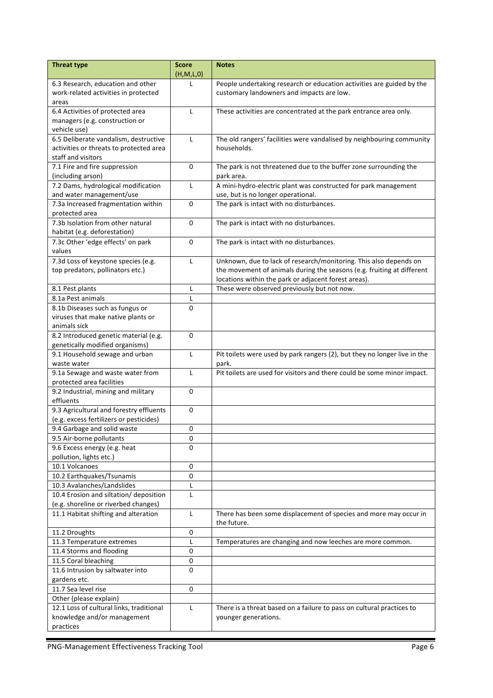| <b>Threat type</b>                                                       | <b>Score</b> | <b>Notes</b>                                                              |
|--------------------------------------------------------------------------|--------------|---------------------------------------------------------------------------|
|                                                                          | (H,M,L,0)    |                                                                           |
| 6.3 Research, education and other                                        | L            | People undertaking research or education activities are guided by the     |
| work-related activities in protected                                     |              | customary landowners and impacts are low.                                 |
| areas                                                                    |              |                                                                           |
| 6.4 Activities of protected area                                         | L            | These activities are concentrated at the park entrance area only.         |
| managers (e.g. construction or                                           |              |                                                                           |
| vehicle use)<br>6.5 Deliberate vandalism, destructive                    | L            | The old rangers' facilities were vandalised by neighbouring community     |
| activities or threats to protected area                                  |              | households.                                                               |
| staff and visitors                                                       |              |                                                                           |
| 7.1 Fire and fire suppression                                            | 0            | The park is not threatened due to the buffer zone surrounding the         |
| (including arson)                                                        |              | park area.                                                                |
| 7.2 Dams, hydrological modification                                      | L            | A mini-hydro-electric plant was constructed for park management           |
| and water management/use                                                 |              | use, but is no longer operational.                                        |
| 7.3a Increased fragmentation within                                      | 0            | The park is intact with no disturbances.                                  |
| protected area                                                           |              |                                                                           |
| 7.3b Isolation from other natural                                        | $\mathbf 0$  | The park is intact with no disturbances.                                  |
| habitat (e.g. deforestation)                                             |              |                                                                           |
| 7.3c Other 'edge effects' on park                                        | 0            | The park is intact with no disturbances.                                  |
| values                                                                   |              |                                                                           |
| 7.3d Loss of keystone species (e.g.                                      | L            | Unknown, due to lack of research/monitoring. This also depends on         |
| top predators, pollinators etc.)                                         |              | the movement of animals during the seasons (e.g. fruiting at different    |
|                                                                          |              | locations within the park or adjacent forest areas).                      |
| 8.1 Pest plants                                                          | L            | These were observed previously but not now.                               |
| 8.1a Pest animals                                                        | L            |                                                                           |
| 8.1b Diseases such as fungus or                                          | 0            |                                                                           |
| viruses that make native plants or                                       |              |                                                                           |
| animals sick                                                             |              |                                                                           |
| 8.2 Introduced genetic material (e.g.<br>genetically modified organisms) | 0            |                                                                           |
| 9.1 Household sewage and urban                                           | L            | Pit toilets were used by park rangers (2), but they no longer live in the |
| waste water                                                              |              | park.                                                                     |
| 9.1a Sewage and waste water from                                         | L            | Pit toilets are used for visitors and there could be some minor impact.   |
| protected area facilities                                                |              |                                                                           |
| 9.2 Industrial, mining and military                                      | 0            |                                                                           |
| effluents                                                                |              |                                                                           |
| 9.3 Agricultural and forestry effluents                                  | 0            |                                                                           |
| (e.g. excess fertilizers or pesticides)                                  |              |                                                                           |
| 9.4 Garbage and solid waste                                              | 0            |                                                                           |
| 9.5 Air-borne pollutants                                                 | $\pmb{0}$    |                                                                           |
| 9.6 Excess energy (e.g. heat                                             | 0            |                                                                           |
| pollution, lights etc.)                                                  |              |                                                                           |
| 10.1 Volcanoes                                                           | $\mathbf 0$  |                                                                           |
| 10.2 Earthquakes/Tsunamis                                                | $\pmb{0}$    |                                                                           |
| 10.3 Avalanches/Landslides                                               | Г            |                                                                           |
| 10.4 Erosion and siltation/ deposition                                   | L            |                                                                           |
| (e.g. shoreline or riverbed changes)                                     |              |                                                                           |
| 11.1 Habitat shifting and alteration                                     | L            | There has been some displacement of species and more may occur in         |
|                                                                          | 0            | the future.                                                               |
| 11.2 Droughts<br>11.3 Temperature extremes                               | Г            | Temperatures are changing and now leeches are more common.                |
| 11.4 Storms and flooding                                                 | 0            |                                                                           |
| 11.5 Coral bleaching                                                     | $\pmb{0}$    |                                                                           |
| 11.6 Intrusion by saltwater into                                         | 0            |                                                                           |
| gardens etc.                                                             |              |                                                                           |
| 11.7 Sea level rise                                                      | 0            |                                                                           |
| Other (please explain)                                                   |              |                                                                           |
| 12.1 Loss of cultural links, traditional                                 | L            | There is a threat based on a failure to pass on cultural practices to     |
| knowledge and/or management                                              |              | younger generations.                                                      |
| practices                                                                |              |                                                                           |
|                                                                          |              |                                                                           |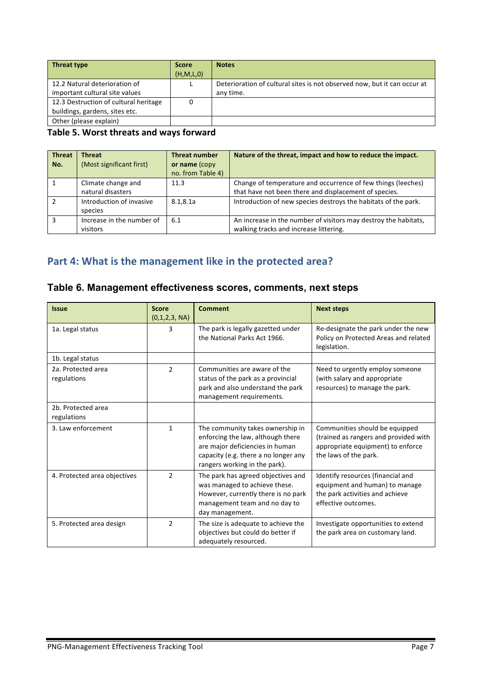| <b>Threat type</b>                    | <b>Score</b> | <b>Notes</b>                                                             |
|---------------------------------------|--------------|--------------------------------------------------------------------------|
|                                       | (H, M, L, 0) |                                                                          |
| 12.2 Natural deterioration of         |              | Deterioration of cultural sites is not observed now, but it can occur at |
| important cultural site values        |              | any time.                                                                |
| 12.3 Destruction of cultural heritage |              |                                                                          |
| buildings, gardens, sites etc.        |              |                                                                          |
| Other (please explain)                |              |                                                                          |

#### Table 5. Worst threats and ways forward

| <b>Threat</b><br>No. | <b>Threat</b><br>(Most significant first) | <b>Threat number</b><br>or name (copy<br>no. from Table 4) | Nature of the threat, impact and how to reduce the impact.                                                            |
|----------------------|-------------------------------------------|------------------------------------------------------------|-----------------------------------------------------------------------------------------------------------------------|
|                      | Climate change and<br>natural disasters   | 11.3                                                       | Change of temperature and occurrence of few things (leeches)<br>that have not been there and displacement of species. |
|                      | Introduction of invasive<br>species       | 8.1,8.1a                                                   | Introduction of new species destroys the habitats of the park.                                                        |
| з                    | Increase in the number of<br>visitors     | 6.1                                                        | An increase in the number of visitors may destroy the habitats,<br>walking tracks and increase littering.             |

# Part 4: What is the management like in the protected area?

## **Table 6. Management effectiveness scores, comments, next steps**

| <b>Issue</b>                      | <b>Score</b><br>(0,1,2,3, NA) | <b>Comment</b>                                                                                                                                                                    | <b>Next steps</b>                                                                                                                     |
|-----------------------------------|-------------------------------|-----------------------------------------------------------------------------------------------------------------------------------------------------------------------------------|---------------------------------------------------------------------------------------------------------------------------------------|
| 1a. Legal status                  | 3                             | The park is legally gazetted under<br>the National Parks Act 1966.                                                                                                                | Re-designate the park under the new<br>Policy on Protected Areas and related<br>legislation.                                          |
| 1b. Legal status                  |                               |                                                                                                                                                                                   |                                                                                                                                       |
| 2a. Protected area<br>regulations | $\overline{2}$                | Communities are aware of the<br>status of the park as a provincial<br>park and also understand the park<br>management requirements.                                               | Need to urgently employ someone<br>(with salary and appropriate<br>resources) to manage the park.                                     |
| 2b. Protected area                |                               |                                                                                                                                                                                   |                                                                                                                                       |
| regulations                       |                               |                                                                                                                                                                                   |                                                                                                                                       |
| 3. Law enforcement                | $\mathbf{1}$                  | The community takes ownership in<br>enforcing the law, although there<br>are major deficiencies in human<br>capacity (e.g. there a no longer any<br>rangers working in the park). | Communities should be equipped<br>(trained as rangers and provided with<br>appropriate equipment) to enforce<br>the laws of the park. |
| 4. Protected area objectives      | $\mathcal{P}$                 | The park has agreed objectives and<br>was managed to achieve these.<br>However, currently there is no park<br>management team and no day to<br>day management.                    | Identify resources (financial and<br>equipment and human) to manage<br>the park activities and achieve<br>effective outcomes.         |
| 5. Protected area design          | $\overline{2}$                | The size is adequate to achieve the<br>objectives but could do better if<br>adequately resourced.                                                                                 | Investigate opportunities to extend<br>the park area on customary land.                                                               |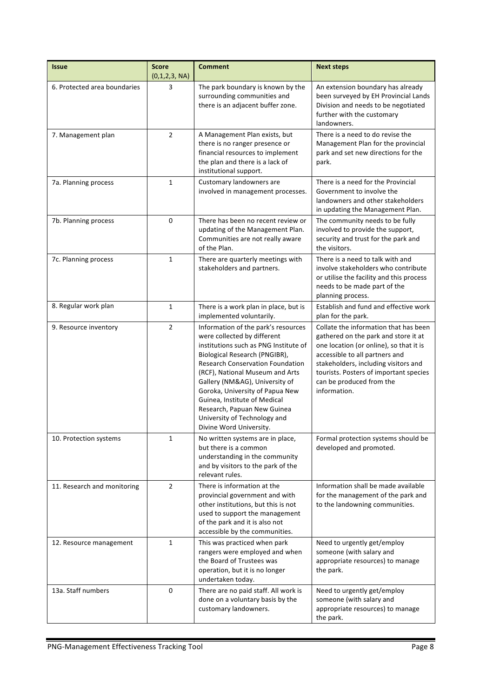| <b>Issue</b>                 | <b>Score</b><br>(0,1,2,3, NA) | <b>Comment</b>                                                                                                                                                                                                                                                                                                                                                                                                            | <b>Next steps</b>                                                                                                                                                                                                                                                                        |
|------------------------------|-------------------------------|---------------------------------------------------------------------------------------------------------------------------------------------------------------------------------------------------------------------------------------------------------------------------------------------------------------------------------------------------------------------------------------------------------------------------|------------------------------------------------------------------------------------------------------------------------------------------------------------------------------------------------------------------------------------------------------------------------------------------|
| 6. Protected area boundaries | 3                             | The park boundary is known by the<br>surrounding communities and<br>there is an adjacent buffer zone.                                                                                                                                                                                                                                                                                                                     | An extension boundary has already<br>been surveyed by EH Provincial Lands<br>Division and needs to be negotiated<br>further with the customary<br>landowners.                                                                                                                            |
| 7. Management plan           | $\overline{2}$                | A Management Plan exists, but<br>there is no ranger presence or<br>financial resources to implement<br>the plan and there is a lack of<br>institutional support.                                                                                                                                                                                                                                                          | There is a need to do revise the<br>Management Plan for the provincial<br>park and set new directions for the<br>park.                                                                                                                                                                   |
| 7a. Planning process         | $\mathbf{1}$                  | Customary landowners are<br>involved in management processes.                                                                                                                                                                                                                                                                                                                                                             | There is a need for the Provincial<br>Government to involve the<br>landowners and other stakeholders<br>in updating the Management Plan.                                                                                                                                                 |
| 7b. Planning process         | 0                             | There has been no recent review or<br>updating of the Management Plan.<br>Communities are not really aware<br>of the Plan.                                                                                                                                                                                                                                                                                                | The community needs to be fully<br>involved to provide the support,<br>security and trust for the park and<br>the visitors.                                                                                                                                                              |
| 7c. Planning process         | $\mathbf{1}$                  | There are quarterly meetings with<br>stakeholders and partners.                                                                                                                                                                                                                                                                                                                                                           | There is a need to talk with and<br>involve stakeholders who contribute<br>or utilise the facility and this process<br>needs to be made part of the<br>planning process.                                                                                                                 |
| 8. Regular work plan         | $\mathbf{1}$                  | There is a work plan in place, but is<br>implemented voluntarily.                                                                                                                                                                                                                                                                                                                                                         | Establish and fund and effective work<br>plan for the park.                                                                                                                                                                                                                              |
| 9. Resource inventory        | $\overline{2}$                | Information of the park's resources<br>were collected by different<br>institutions such as PNG Institute of<br>Biological Research (PNGIBR),<br><b>Research Conservation Foundation</b><br>(RCF), National Museum and Arts<br>Gallery (NM&AG), University of<br>Goroka, University of Papua New<br>Guinea, Institute of Medical<br>Research, Papuan New Guinea<br>University of Technology and<br>Divine Word University. | Collate the information that has been<br>gathered on the park and store it at<br>one location (or online), so that it is<br>accessible to all partners and<br>stakeholders, including visitors and<br>tourists. Posters of important species<br>can be produced from the<br>information. |
| 10. Protection systems       | $\mathbf{1}$                  | No written systems are in place,<br>but there is a common<br>understanding in the community<br>and by visitors to the park of the<br>relevant rules.                                                                                                                                                                                                                                                                      | Formal protection systems should be<br>developed and promoted.                                                                                                                                                                                                                           |
| 11. Research and monitoring  | $\overline{2}$                | There is information at the<br>provincial government and with<br>other institutions, but this is not<br>used to support the management<br>of the park and it is also not<br>accessible by the communities.                                                                                                                                                                                                                | Information shall be made available<br>for the management of the park and<br>to the landowning communities.                                                                                                                                                                              |
| 12. Resource management      | $\mathbf{1}$                  | This was practiced when park<br>rangers were employed and when<br>the Board of Trustees was<br>operation, but it is no longer<br>undertaken today.                                                                                                                                                                                                                                                                        | Need to urgently get/employ<br>someone (with salary and<br>appropriate resources) to manage<br>the park.                                                                                                                                                                                 |
| 13a. Staff numbers           | $\Omega$                      | There are no paid staff. All work is<br>done on a voluntary basis by the<br>customary landowners.                                                                                                                                                                                                                                                                                                                         | Need to urgently get/employ<br>someone (with salary and<br>appropriate resources) to manage<br>the park.                                                                                                                                                                                 |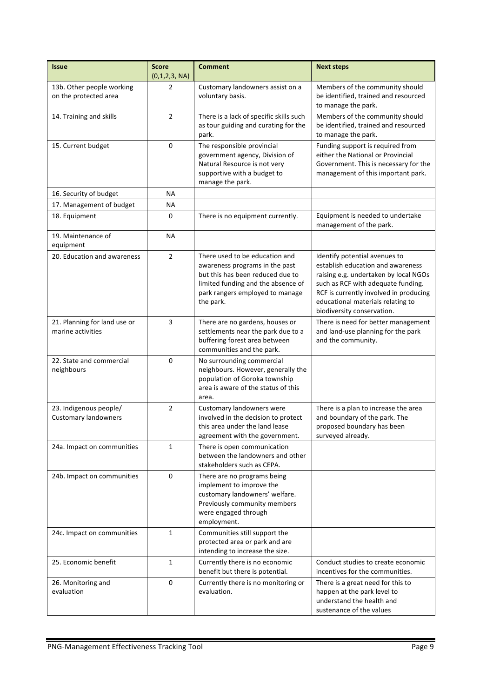| <b>Issue</b>                                          | <b>Score</b><br>(0,1,2,3, NA) | <b>Comment</b>                                                                                                                                                                             | <b>Next steps</b>                                                                                                                                                                                                                                              |
|-------------------------------------------------------|-------------------------------|--------------------------------------------------------------------------------------------------------------------------------------------------------------------------------------------|----------------------------------------------------------------------------------------------------------------------------------------------------------------------------------------------------------------------------------------------------------------|
| 13b. Other people working<br>on the protected area    | 2                             | Customary landowners assist on a<br>voluntary basis.                                                                                                                                       | Members of the community should<br>be identified, trained and resourced<br>to manage the park.                                                                                                                                                                 |
| 14. Training and skills                               | $\overline{2}$                | There is a lack of specific skills such<br>as tour guiding and curating for the<br>park.                                                                                                   | Members of the community should<br>be identified, trained and resourced<br>to manage the park.                                                                                                                                                                 |
| 15. Current budget                                    | $\mathbf 0$                   | The responsible provincial<br>government agency, Division of<br>Natural Resource is not very<br>supportive with a budget to<br>manage the park.                                            | Funding support is required from<br>either the National or Provincial<br>Government. This is necessary for the<br>management of this important park.                                                                                                           |
| 16. Security of budget                                | <b>NA</b>                     |                                                                                                                                                                                            |                                                                                                                                                                                                                                                                |
| 17. Management of budget                              | ΝA                            |                                                                                                                                                                                            |                                                                                                                                                                                                                                                                |
| 18. Equipment                                         | 0                             | There is no equipment currently.                                                                                                                                                           | Equipment is needed to undertake<br>management of the park.                                                                                                                                                                                                    |
| 19. Maintenance of<br>equipment                       | <b>NA</b>                     |                                                                                                                                                                                            |                                                                                                                                                                                                                                                                |
| 20. Education and awareness                           | $\overline{2}$                | There used to be education and<br>awareness programs in the past<br>but this has been reduced due to<br>limited funding and the absence of<br>park rangers employed to manage<br>the park. | Identify potential avenues to<br>establish education and awareness<br>raising e.g. undertaken by local NGOs<br>such as RCF with adequate funding.<br>RCF is currently involved in producing<br>educational materials relating to<br>biodiversity conservation. |
| 21. Planning for land use or<br>marine activities     | 3                             | There are no gardens, houses or<br>settlements near the park due to a<br>buffering forest area between<br>communities and the park.                                                        | There is need for better management<br>and land-use planning for the park<br>and the community.                                                                                                                                                                |
| 22. State and commercial<br>neighbours                | 0                             | No surrounding commercial<br>neighbours. However, generally the<br>population of Goroka township<br>area is aware of the status of this<br>area.                                           |                                                                                                                                                                                                                                                                |
| 23. Indigenous people/<br><b>Customary landowners</b> | 2                             | Customary landowners were<br>involved in the decision to protect<br>this area under the land lease<br>agreement with the government.                                                       | There is a plan to increase the area<br>and boundary of the park. The<br>proposed boundary has been<br>surveyed already.                                                                                                                                       |
| 24a. Impact on communities                            | $\mathbf{1}$                  | There is open communication<br>between the landowners and other<br>stakeholders such as CEPA.                                                                                              |                                                                                                                                                                                                                                                                |
| 24b. Impact on communities                            | 0                             | There are no programs being<br>implement to improve the<br>customary landowners' welfare.<br>Previously community members<br>were engaged through<br>employment.                           |                                                                                                                                                                                                                                                                |
| 24c. Impact on communities                            | $\mathbf{1}$                  | Communities still support the<br>protected area or park and are<br>intending to increase the size.                                                                                         |                                                                                                                                                                                                                                                                |
| 25. Economic benefit                                  | $\mathbf{1}$                  | Currently there is no economic<br>benefit but there is potential.                                                                                                                          | Conduct studies to create economic<br>incentives for the communities.                                                                                                                                                                                          |
| 26. Monitoring and<br>evaluation                      | $\Omega$                      | Currently there is no monitoring or<br>evaluation.                                                                                                                                         | There is a great need for this to<br>happen at the park level to<br>understand the health and<br>sustenance of the values                                                                                                                                      |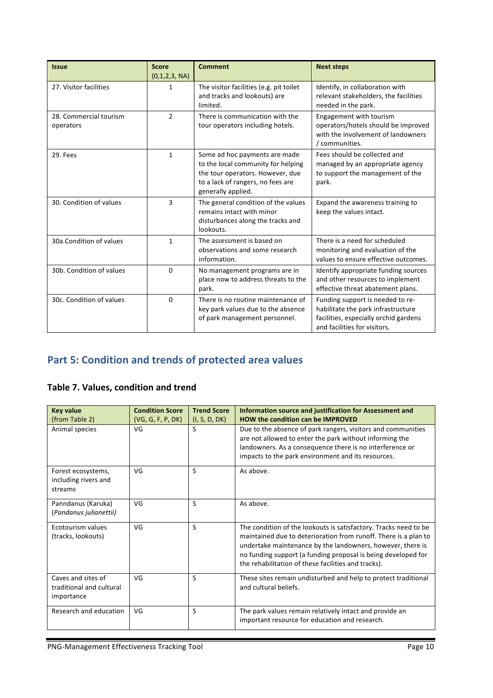| <b>Issue</b>                        | <b>Score</b><br>(0,1,2,3, NA) | <b>Comment</b>                                                                                                                                                     | <b>Next steps</b>                                                                                                                               |
|-------------------------------------|-------------------------------|--------------------------------------------------------------------------------------------------------------------------------------------------------------------|-------------------------------------------------------------------------------------------------------------------------------------------------|
| 27. Visitor facilities              | 1                             | The visitor facilities (e.g. pit toilet<br>and tracks and lookouts) are<br>limited.                                                                                | Identify, in collaboration with<br>relevant stakeholders, the facilities<br>needed in the park.                                                 |
| 28. Commercial tourism<br>operators | $\overline{2}$                | There is communication with the<br>tour operators including hotels.                                                                                                | Engagement with tourism<br>operators/hotels should be improved<br>with the involvement of landowners<br>/ communities.                          |
| 29. Fees                            | $\mathbf{1}$                  | Some ad hoc payments are made<br>to the local community for helping<br>the tour operators. However, due<br>to a lack of rangers, no fees are<br>generally applied. | Fees should be collected and<br>managed by an appropriate agency<br>to support the management of the<br>park.                                   |
| 30. Condition of values             | 3                             | The general condition of the values<br>remains intact with minor<br>disturbances along the tracks and<br>lookouts.                                                 | Expand the awareness training to<br>keep the values intact.                                                                                     |
| 30a.Condition of values             | $\mathbf{1}$                  | The assessment is based on<br>observations and some research<br>information.                                                                                       | There is a need for scheduled<br>monitoring and evaluation of the<br>values to ensure effective outcomes.                                       |
| 30b. Condition of values            | $\Omega$                      | No management programs are in<br>place now to address threats to the<br>park.                                                                                      | Identify appropriate funding sources<br>and other resources to implement<br>effective threat abatement plans.                                   |
| 30c. Condition of values            | $\Omega$                      | There is no routine maintenance of<br>key park values due to the absence<br>of park management personnel.                                                          | Funding support is needed to re-<br>habilitate the park infrastructure<br>facilities, especially orchid gardens<br>and facilities for visitors. |

# Part 5: Condition and trends of protected area values

## **Table 7. Values, condition and trend**

| <b>Key value</b>                                             | <b>Condition Score</b> | <b>Trend Score</b> | Information source and justification for Assessment and                                                                                                                                                                                                                                                                   |
|--------------------------------------------------------------|------------------------|--------------------|---------------------------------------------------------------------------------------------------------------------------------------------------------------------------------------------------------------------------------------------------------------------------------------------------------------------------|
| (from Table 2)                                               | (VG, G, F, P, DK)      | (I, S, D, DK)      | <b>HOW the condition can be IMPROVED</b>                                                                                                                                                                                                                                                                                  |
| Animal species                                               | VG                     | S                  | Due to the absence of park rangers, visitors and communities<br>are not allowed to enter the park without informing the<br>landowners. As a consequence there is no interference or<br>impacts to the park environment and its resources.                                                                                 |
| Forest ecosystems,<br>including rivers and<br>streams        | VG                     | S                  | As above.                                                                                                                                                                                                                                                                                                                 |
| Panndanus (Karuka)<br>(Pandanus julianettii)                 | VG                     | S                  | As above.                                                                                                                                                                                                                                                                                                                 |
| Ecotourism values<br>(tracks, lookouts)                      | VG                     | S                  | The condition of the lookouts is satisfactory. Tracks need to be<br>maintained due to deterioration from runoff. There is a plan to<br>undertake maintenance by the landowners, however, there is<br>no funding support (a funding proposal is being developed for<br>the rehabilitation of these facilities and tracks). |
| Caves and sites of<br>traditional and cultural<br>importance | VG                     | S                  | These sites remain undisturbed and help to protect traditional<br>and cultural beliefs.                                                                                                                                                                                                                                   |
| Research and education                                       | VG                     | S                  | The park values remain relatively intact and provide an<br>important resource for education and research.                                                                                                                                                                                                                 |